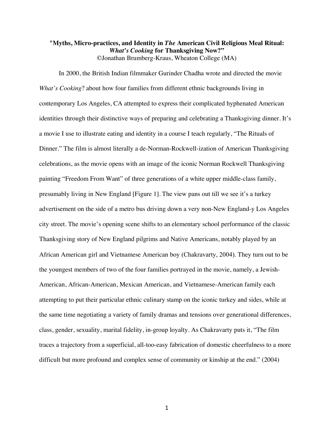# **"Myths, Micro-practices, and Identity in** *The* **American Civil Religious Meal Ritual:**  *What's Cooking* **for Thanksgiving Now?"** ©Jonathan Brumberg-Kraus, Wheaton College (MA)

In 2000, the British Indian filmmaker Gurinder Chadha wrote and directed the movie *What's Cooking*? about how four families from different ethnic backgrounds living in contemporary Los Angeles, CA attempted to express their complicated hyphenated American identities through their distinctive ways of preparing and celebrating a Thanksgiving dinner. It's a movie I use to illustrate eating and identity in a course I teach regularly, "The Rituals of Dinner." The film is almost literally a de-Norman-Rockwell-ization of American Thanksgiving celebrations, as the movie opens with an image of the iconic Norman Rockwell Thanksgiving painting "Freedom From Want" of three generations of a white upper middle-class family, presumably living in New England [Figure 1]. The view pans out till we see it's a turkey advertisement on the side of a metro bus driving down a very non-New England-y Los Angeles city street. The movie's opening scene shifts to an elementary school performance of the classic Thanksgiving story of New England pilgrims and Native Americans, notably played by an African American girl and Vietnamese American boy (Chakravarty, 2004). They turn out to be the youngest members of two of the four families portrayed in the movie, namely, a Jewish-American, African-American, Mexican American, and Vietnamese-American family each attempting to put their particular ethnic culinary stamp on the iconic turkey and sides, while at the same time negotiating a variety of family dramas and tensions over generational differences, class, gender, sexuality, marital fidelity, in-group loyalty. As Chakravarty puts it, "The film traces a trajectory from a superficial, all-too-easy fabrication of domestic cheerfulness to a more difficult but more profound and complex sense of community or kinship at the end." (2004)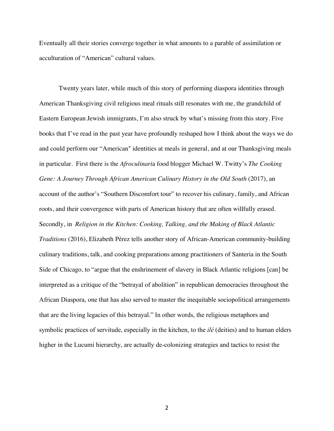Eventually all their stories converge together in what amounts to a parable of assimilation or acculturation of "American" cultural values.

Twenty years later, while much of this story of performing diaspora identities through American Thanksgiving civil religious meal rituals still resonates with me, the grandchild of Eastern European Jewish immigrants, I'm also struck by what's missing from this story. Five books that I've read in the past year have profoundly reshaped how I think about the ways we do and could perform our "American" identities at meals in general, and at our Thanksgiving meals in particular. First there is the *Afroculinari*a food blogger Michael W. Twitty's *The Cooking Gene: A Journey Through African American Culinary History in the Old South* (2017), an account of the author's "Southern Discomfort tour" to recover his culinary, family, and African roots, and their convergence with parts of American history that are often willfully erased. Secondly, in *Religion in the Kitchen: Cooking, Talking, and the Making of Black Atlantic Traditions* (2016), Elizabeth Pérez tells another story of African-American community-building culinary traditions, talk, and cooking preparations among practitioners of Santeria in the South Side of Chicago, to "argue that the enshrinement of slavery in Black Atlantic religions [can] be interpreted as a critique of the "betrayal of abolition" in republican democracies throughout the African Diaspora, one that has also served to master the inequitable sociopolitical arrangements that are the living legacies of this betrayal." In other words, the religious metaphors and symbolic practices of servitude, especially in the kitchen, to the *ilé* (deities) and to human elders higher in the Lucumí hierarchy, are actually de-colonizing strategies and tactics to resist the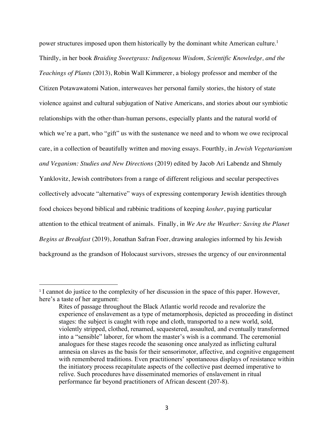power structures imposed upon them historically by the dominant white American culture.<sup>1</sup> Thirdly, in her book *Braiding Sweetgrass: Indigenous Wisdom, Scientific Knowledge, and the Teachings of Plants* (2013), Robin Wall Kimmerer, a biology professor and member of the Citizen Potawawatomi Nation, interweaves her personal family stories, the history of state violence against and cultural subjugation of Native Americans, and stories about our symbiotic relationships with the other-than-human persons, especially plants and the natural world of which we're a part, who "gift" us with the sustenance we need and to whom we owe reciprocal care, in a collection of beautifully written and moving essays. Fourthly, in *Jewish Vegetarianism and Veganism: Studies and New Directions* (2019) edited by Jacob Ari Labendz and Shmuly Yanklovitz, Jewish contributors from a range of different religious and secular perspectives collectively advocate "alternative" ways of expressing contemporary Jewish identities through food choices beyond biblical and rabbinic traditions of keeping *kosher*, paying particular attention to the ethical treatment of animals. Finally, in *We Are the Weather: Saving the Planet Begins at Breakfast* (2019), Jonathan Safran Foer, drawing analogies informed by his Jewish background as the grandson of Holocaust survivors, stresses the urgency of our environmental

 $\overline{a}$ 

<sup>&</sup>lt;sup>1</sup> I cannot do justice to the complexity of her discussion in the space of this paper. However, here's a taste of her argument:

Rites of passage throughout the Black Atlantic world recode and revalorize the experience of enslavement as a type of metamorphosis, depicted as proceeding in distinct stages: the subject is caught with rope and cloth, transported to a new world, sold, violently stripped, clothed, renamed, sequestered, assaulted, and eventually transformed into a "sensible" laborer, for whom the master's wish is a command. The ceremonial analogues for these stages recode the seasoning once analyzed as inflicting cultural amnesia on slaves as the basis for their sensorimotor, affective, and cognitive engagement with remembered traditions. Even practitioners' spontaneous displays of resistance within the initiatory process recapitulate aspects of the collective past deemed imperative to relive. Such procedures have disseminated memories of enslavement in ritual performance far beyond practitioners of African descent (207-8).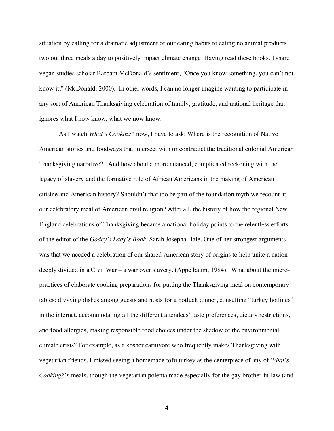situation by calling for a dramatic adjustment of our eating habits to eating no animal products two out three meals a day to positively impact climate change. Having read these books, I share vegan studies scholar Barbara McDonald's sentiment, "Once you know something, you can't not know it," (McDonald, 2000). In other words, I can no longer imagine wanting to participate in any sort of American Thanksgiving celebration of family, gratitude, and national heritage that ignores what I now know, what we now know.

As I watch *What's Cooking?* now, I have to ask: Where is the recognition of Native American stories and foodways that intersect with or contradict the traditional colonial American Thanksgiving narrative? And how about a more nuanced, complicated reckoning with the legacy of slavery and the formative role of African Americans in the making of American cuisine and American history? Shouldn't that too be part of the foundation myth we recount at our celebratory meal of American civil religion? After all, the history of how the regional New England celebrations of Thanksgiving became a national holiday points to the relentless efforts of the editor of the *Godey's Lady's Book*, Sarah Josepha Hale. One of her strongest arguments was that we needed a celebration of our shared American story of origins to help unite a nation deeply divided in a Civil War – a war over slavery. (Appelbaum, 1984). What about the micropractices of elaborate cooking preparations for putting the Thanksgiving meal on contemporary tables: divvying dishes among guests and hosts for a potluck dinner, consulting "turkey hotlines" in the internet, accommodating all the different attendees' taste preferences, dietary restrictions, and food allergies, making responsible food choices under the shadow of the environmental climate crisis? For example, as a kosher carnivore who frequently makes Thanksgiving with vegetarian friends, I missed seeing a homemade tofu turkey as the centerpiece of any of *What's Cooking?*'s meals, though the vegetarian polenta made especially for the gay brother-in-law (and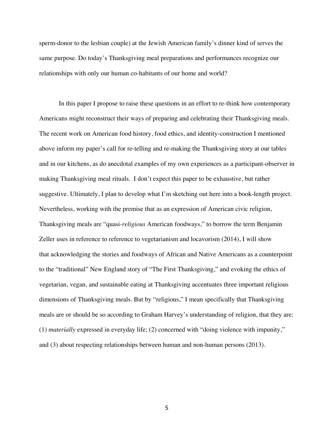sperm-donor to the lesbian couple) at the Jewish American family's dinner kind of serves the same purpose. Do today's Thanksgiving meal preparations and performances recognize our relationships with only our human co-habitants of our home and world?

In this paper I propose to raise these questions in an effort to re-think how contemporary Americans might reconstruct their ways of preparing and celebrating their Thanksgiving meals. The recent work on American food history, food ethics, and identity-construction I mentioned above inform my paper's call for re-telling and re-making the Thanksgiving story at our tables and in our kitchens, as do anecdotal examples of my own experiences as a participant-observer in making Thanksgiving meal rituals. I don't expect this paper to be exhaustive, but rather suggestive. Ultimately, I plan to develop what I'm sketching out here into a book-length project. Nevertheless, working with the premise that as an expression of American civic religion, Thanksgiving meals are "quasi-*religious* American foodways," to borrow the term Benjamin Zeller uses in reference to reference to vegetarianism and locavorism (2014), I will show that acknowledging the stories and foodways of African and Native Americans as a counterpoint to the "traditional" New England story of "The First Thanksgiving," and evoking the ethics of vegetarian, vegan, and sustainable eating at Thanksgiving accentuates three important religious dimensions of Thanksgiving meals. But by "religious," I mean specifically that Thanksgiving meals are or should be so according to Graham Harvey's understanding of religion, that they are: (1) *materially* expressed in everyday life; (2) concerned with "doing violence with impunity," and (3) about respecting relationships between human and non-human persons (2013).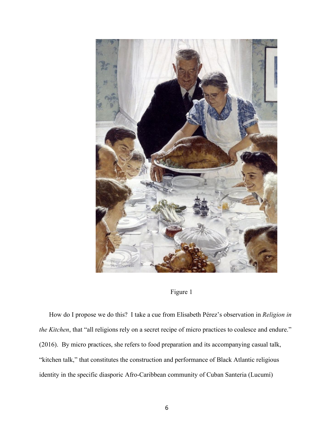



How do I propose we do this? I take a cue from Elisabeth Pérez's observation in *Religion in the Kitchen*, that "all religions rely on a secret recipe of micro practices to coalesce and endure." (2016). By micro practices, she refers to food preparation and its accompanying casual talk, "kitchen talk," that constitutes the construction and performance of Black Atlantic religious identity in the specific diasporic Afro-Caribbean community of Cuban Santeria (Lucumí)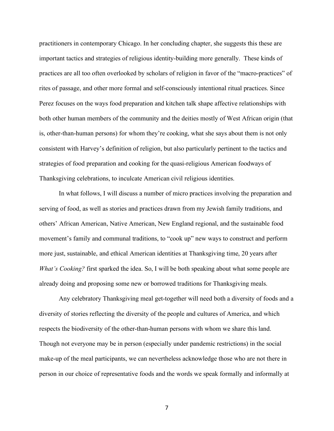practitioners in contemporary Chicago. In her concluding chapter, she suggests this these are important tactics and strategies of religious identity-building more generally. These kinds of practices are all too often overlooked by scholars of religion in favor of the "macro-practices" of rites of passage, and other more formal and self-consciously intentional ritual practices. Since Perez focuses on the ways food preparation and kitchen talk shape affective relationships with both other human members of the community and the deities mostly of West African origin (that is, other-than-human persons) for whom they're cooking, what she says about them is not only consistent with Harvey's definition of religion, but also particularly pertinent to the tactics and strategies of food preparation and cooking for the quasi-religious American foodways of Thanksgiving celebrations, to inculcate American civil religious identities.

In what follows, I will discuss a number of micro practices involving the preparation and serving of food, as well as stories and practices drawn from my Jewish family traditions, and others' African American, Native American, New England regional, and the sustainable food movement's family and communal traditions, to "cook up" new ways to construct and perform more just, sustainable, and ethical American identities at Thanksgiving time, 20 years after *What's Cooking?* first sparked the idea. So, I will be both speaking about what some people are already doing and proposing some new or borrowed traditions for Thanksgiving meals.

Any celebratory Thanksgiving meal get-together will need both a diversity of foods and a diversity of stories reflecting the diversity of the people and cultures of America, and which respects the biodiversity of the other-than-human persons with whom we share this land. Though not everyone may be in person (especially under pandemic restrictions) in the social make-up of the meal participants, we can nevertheless acknowledge those who are not there in person in our choice of representative foods and the words we speak formally and informally at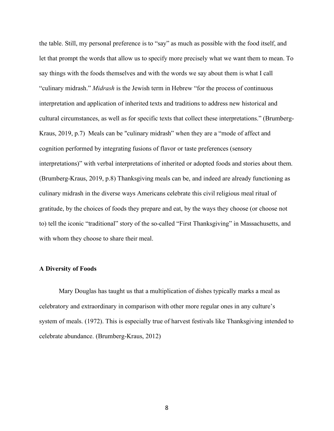the table. Still, my personal preference is to "say" as much as possible with the food itself, and let that prompt the words that allow us to specify more precisely what we want them to mean. To say things with the foods themselves and with the words we say about them is what I call "culinary midrash." *Midrash* is the Jewish term in Hebrew "for the process of continuous interpretation and application of inherited texts and traditions to address new historical and cultural circumstances, as well as for specific texts that collect these interpretations." (Brumberg-Kraus, 2019, p.7) Meals can be "culinary midrash" when they are a "mode of affect and cognition performed by integrating fusions of flavor or taste preferences (sensory interpretations)" with verbal interpretations of inherited or adopted foods and stories about them. (Brumberg-Kraus, 2019, p.8) Thanksgiving meals can be, and indeed are already functioning as culinary midrash in the diverse ways Americans celebrate this civil religious meal ritual of gratitude, by the choices of foods they prepare and eat, by the ways they choose (or choose not to) tell the iconic "traditional" story of the so-called "First Thanksgiving" in Massachusetts, and with whom they choose to share their meal.

### **A Diversity of Foods**

Mary Douglas has taught us that a multiplication of dishes typically marks a meal as celebratory and extraordinary in comparison with other more regular ones in any culture's system of meals. (1972). This is especially true of harvest festivals like Thanksgiving intended to celebrate abundance. (Brumberg-Kraus, 2012)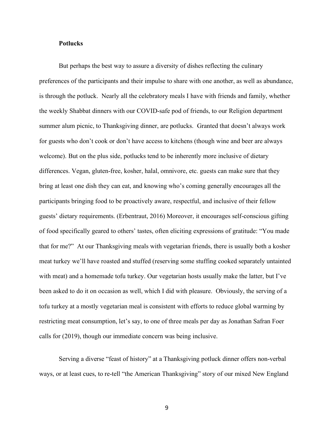### **Potlucks**

But perhaps the best way to assure a diversity of dishes reflecting the culinary preferences of the participants and their impulse to share with one another, as well as abundance, is through the potluck. Nearly all the celebratory meals I have with friends and family, whether the weekly Shabbat dinners with our COVID-safe pod of friends, to our Religion department summer alum picnic, to Thanksgiving dinner, are potlucks. Granted that doesn't always work for guests who don't cook or don't have access to kitchens (though wine and beer are always welcome). But on the plus side, potlucks tend to be inherently more inclusive of dietary differences. Vegan, gluten-free, kosher, halal, omnivore, etc. guests can make sure that they bring at least one dish they can eat, and knowing who's coming generally encourages all the participants bringing food to be proactively aware, respectful, and inclusive of their fellow guests' dietary requirements. (Erbentraut, 2016) Moreover, it encourages self-conscious gifting of food specifically geared to others' tastes, often eliciting expressions of gratitude: "You made that for me?" At our Thanksgiving meals with vegetarian friends, there is usually both a kosher meat turkey we'll have roasted and stuffed (reserving some stuffing cooked separately untainted with meat) and a homemade tofu turkey. Our vegetarian hosts usually make the latter, but I've been asked to do it on occasion as well, which I did with pleasure. Obviously, the serving of a tofu turkey at a mostly vegetarian meal is consistent with efforts to reduce global warming by restricting meat consumption, let's say, to one of three meals per day as Jonathan Safran Foer calls for (2019), though our immediate concern was being inclusive.

Serving a diverse "feast of history" at a Thanksgiving potluck dinner offers non-verbal ways, or at least cues, to re-tell "the American Thanksgiving" story of our mixed New England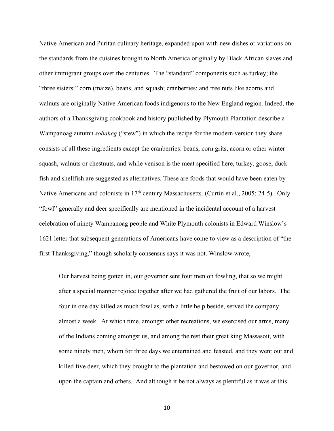Native American and Puritan culinary heritage, expanded upon with new dishes or variations on the standards from the cuisines brought to North America originally by Black African slaves and other immigrant groups over the centuries. The "standard" components such as turkey; the "three sisters:" corn (maize), beans, and squash; cranberries; and tree nuts like acorns and walnuts are originally Native American foods indigenous to the New England region. Indeed, the authors of a Thanksgiving cookbook and history published by Plymouth Plantation describe a Wampanoag autumn *sobaheg* ("stew") in which the recipe for the modern version they share consists of all these ingredients except the cranberries: beans, corn grits, acorn or other winter squash, walnuts or chestnuts, and while venison is the meat specified here, turkey, goose, duck fish and shellfish are suggested as alternatives. These are foods that would have been eaten by Native Americans and colonists in 17<sup>th</sup> century Massachusetts. (Curtin et al., 2005: 24-5). Only "fowl" generally and deer specifically are mentioned in the incidental account of a harvest celebration of ninety Wampanoag people and White Plymouth colonists in Edward Winslow's 1621 letter that subsequent generations of Americans have come to view as a description of "the first Thanksgiving," though scholarly consensus says it was not. Winslow wrote,

Our harvest being gotten in, our governor sent four men on fowling, that so we might after a special manner rejoice together after we had gathered the fruit of our labors. The four in one day killed as much fowl as, with a little help beside, served the company almost a week. At which time, amongst other recreations, we exercised our arms, many of the Indians coming amongst us, and among the rest their great king Massasoit, with some ninety men, whom for three days we entertained and feasted, and they went out and killed five deer, which they brought to the plantation and bestowed on our governor, and upon the captain and others. And although it be not always as plentiful as it was at this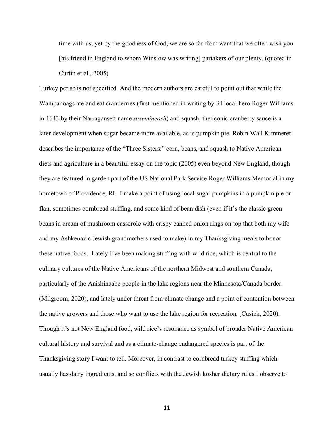time with us, yet by the goodness of God, we are so far from want that we often wish you [his friend in England to whom Winslow was writing] partakers of our plenty. (quoted in Curtin et al., 2005)

Turkey per se is not specified. And the modern authors are careful to point out that while the Wampanoags ate and eat cranberries (first mentioned in writing by RI local hero Roger Williams in 1643 by their Narragansett name *sasemineash*) and squash, the iconic cranberry sauce is a later development when sugar became more available, as is pumpkin pie. Robin Wall Kimmerer describes the importance of the "Three Sisters:" corn, beans, and squash to Native American diets and agriculture in a beautiful essay on the topic (2005) even beyond New England, though they are featured in garden part of the US National Park Service Roger Williams Memorial in my hometown of Providence, RI. I make a point of using local sugar pumpkins in a pumpkin pie or flan, sometimes cornbread stuffing, and some kind of bean dish (even if it's the classic green beans in cream of mushroom casserole with crispy canned onion rings on top that both my wife and my Ashkenazic Jewish grandmothers used to make) in my Thanksgiving meals to honor these native foods. Lately I've been making stuffing with wild rice, which is central to the culinary cultures of the Native Americans of the northern Midwest and southern Canada, particularly of the Anishinaabe people in the lake regions near the Minnesota/Canada border. (Milgroom, 2020), and lately under threat from climate change and a point of contention between the native growers and those who want to use the lake region for recreation. (Cusick, 2020). Though it's not New England food, wild rice's resonance as symbol of broader Native American cultural history and survival and as a climate-change endangered species is part of the Thanksgiving story I want to tell. Moreover, in contrast to cornbread turkey stuffing which usually has dairy ingredients, and so conflicts with the Jewish kosher dietary rules I observe to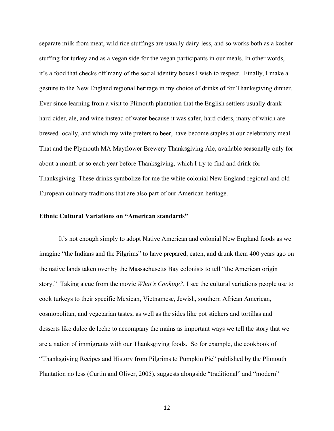separate milk from meat, wild rice stuffings are usually dairy-less, and so works both as a kosher stuffing for turkey and as a vegan side for the vegan participants in our meals. In other words, it's a food that checks off many of the social identity boxes I wish to respect. Finally, I make a gesture to the New England regional heritage in my choice of drinks of for Thanksgiving dinner. Ever since learning from a visit to Plimouth plantation that the English settlers usually drank hard cider, ale, and wine instead of water because it was safer, hard ciders, many of which are brewed locally, and which my wife prefers to beer, have become staples at our celebratory meal. That and the Plymouth MA Mayflower Brewery Thanksgiving Ale, available seasonally only for about a month or so each year before Thanksgiving, which I try to find and drink for Thanksgiving. These drinks symbolize for me the white colonial New England regional and old European culinary traditions that are also part of our American heritage.

# **Ethnic Cultural Variations on "American standards"**

It's not enough simply to adopt Native American and colonial New England foods as we imagine "the Indians and the Pilgrims" to have prepared, eaten, and drunk them 400 years ago on the native lands taken over by the Massachusetts Bay colonists to tell "the American origin story." Taking a cue from the movie *What's Cooking?*, I see the cultural variations people use to cook turkeys to their specific Mexican, Vietnamese, Jewish, southern African American, cosmopolitan, and vegetarian tastes, as well as the sides like pot stickers and tortillas and desserts like dulce de leche to accompany the mains as important ways we tell the story that we are a nation of immigrants with our Thanksgiving foods. So for example, the cookbook of "Thanksgiving Recipes and History from Pilgrims to Pumpkin Pie" published by the Plimouth Plantation no less (Curtin and Oliver, 2005), suggests alongside "traditional" and "modern"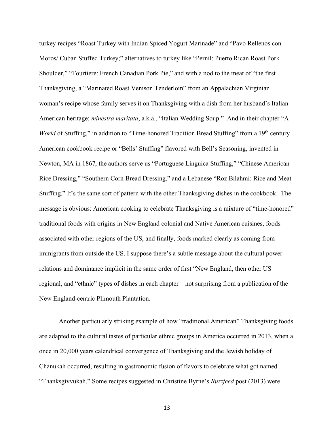turkey recipes "Roast Turkey with Indian Spiced Yogurt Marinade" and "Pavo Rellenos con Moros/ Cuban Stuffed Turkey;" alternatives to turkey like "Pernil: Puerto Rican Roast Pork Shoulder," "Tourtiere: French Canadian Pork Pie," and with a nod to the meat of "the first Thanksgiving, a "Marinated Roast Venison Tenderloin" from an Appalachian Virginian woman's recipe whose family serves it on Thanksgiving with a dish from her husband's Italian American heritage: *minestra maritata*, a.k.a., "Italian Wedding Soup." And in their chapter "A *World* of Stuffing," in addition to "Time-honored Tradition Bread Stuffing" from a 19<sup>th</sup> century American cookbook recipe or "Bells' Stuffing" flavored with Bell's Seasoning, invented in Newton, MA in 1867, the authors serve us "Portuguese Linguica Stuffing," "Chinese American Rice Dressing," "Southern Corn Bread Dressing," and a Lebanese "Roz Bilahmi: Rice and Meat Stuffing." It's the same sort of pattern with the other Thanksgiving dishes in the cookbook. The message is obvious: American cooking to celebrate Thanksgiving is a mixture of "time-honored" traditional foods with origins in New England colonial and Native American cuisines, foods associated with other regions of the US, and finally, foods marked clearly as coming from immigrants from outside the US. I suppose there's a subtle message about the cultural power relations and dominance implicit in the same order of first "New England, then other US regional, and "ethnic" types of dishes in each chapter – not surprising from a publication of the New England-centric Plimouth Plantation.

Another particularly striking example of how "traditional American" Thanksgiving foods are adapted to the cultural tastes of particular ethnic groups in America occurred in 2013, when a once in 20,000 years calendrical convergence of Thanksgiving and the Jewish holiday of Chanukah occurred, resulting in gastronomic fusion of flavors to celebrate what got named "Thanksgivvukah." Some recipes suggested in Christine Byrne's *Buzzfeed* post (2013) were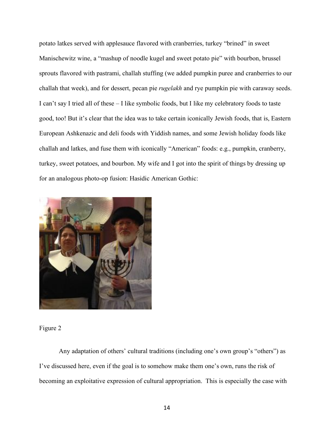potato latkes served with applesauce flavored with cranberries, turkey "brined" in sweet Manischewitz wine, a "mashup of noodle kugel and sweet potato pie" with bourbon, brussel sprouts flavored with pastrami, challah stuffing (we added pumpkin puree and cranberries to our challah that week), and for dessert, pecan pie *rugelakh* and rye pumpkin pie with caraway seeds. I can't say I tried all of these – I like symbolic foods, but I like my celebratory foods to taste good, too! But it's clear that the idea was to take certain iconically Jewish foods, that is, Eastern European Ashkenazic and deli foods with Yiddish names, and some Jewish holiday foods like challah and latkes, and fuse them with iconically "American" foods: e.g., pumpkin, cranberry, turkey, sweet potatoes, and bourbon. My wife and I got into the spirit of things by dressing up for an analogous photo-op fusion: Hasidic American Gothic:



Figure 2

Any adaptation of others' cultural traditions (including one's own group's "others") as I've discussed here, even if the goal is to somehow make them one's own, runs the risk of becoming an exploitative expression of cultural appropriation. This is especially the case with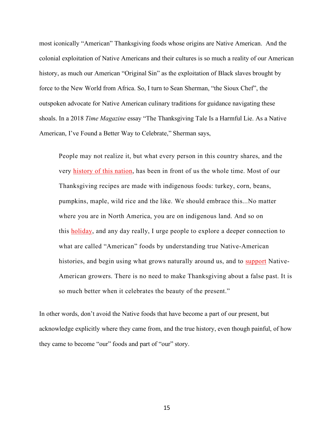most iconically "American" Thanksgiving foods whose origins are Native American. And the colonial exploitation of Native Americans and their cultures is so much a reality of our American history, as much our American "Original Sin" as the exploitation of Black slaves brought by force to the New World from Africa. So, I turn to Sean Sherman, "the Sioux Chef", the outspoken advocate for Native American culinary traditions for guidance navigating these shoals. In a 2018 *Time Magazine* essay "The Thanksgiving Tale Is a Harmful Lie. As a Native American, I've Found a Better Way to Celebrate," Sherman says,

People may not realize it, but what every person in this country shares, and the very history of this nation, has been in front of us the whole time. Most of our Thanksgiving recipes are made with indigenous foods: turkey, corn, beans, pumpkins, maple, wild rice and the like. We should embrace this...No matter where you are in North America, you are on indigenous land. And so on this holiday, and any day really, I urge people to explore a deeper connection to what are called "American" foods by understanding true Native-American histories, and begin using what grows naturally around us, and to support Native-American growers. There is no need to make Thanksgiving about a false past. It is so much better when it celebrates the beauty of the present."

In other words, don't avoid the Native foods that have become a part of our present, but acknowledge explicitly where they came from, and the true history, even though painful, of how they came to become "our" foods and part of "our" story.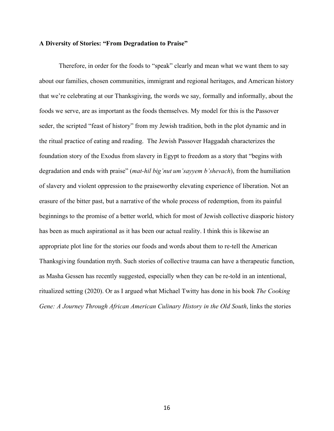### **A Diversity of Stories: "From Degradation to Praise"**

Therefore, in order for the foods to "speak" clearly and mean what we want them to say about our families, chosen communities, immigrant and regional heritages, and American history that we're celebrating at our Thanksgiving, the words we say, formally and informally, about the foods we serve, are as important as the foods themselves. My model for this is the Passover seder, the scripted "feast of history" from my Jewish tradition, both in the plot dynamic and in the ritual practice of eating and reading. The Jewish Passover Haggadah characterizes the foundation story of the Exodus from slavery in Egypt to freedom as a story that "begins with degradation and ends with praise" (*mat-hil big'nut um'sayyem b'shevach*), from the humiliation of slavery and violent oppression to the praiseworthy elevating experience of liberation. Not an erasure of the bitter past, but a narrative of the whole process of redemption, from its painful beginnings to the promise of a better world, which for most of Jewish collective diasporic history has been as much aspirational as it has been our actual reality. I think this is likewise an appropriate plot line for the stories our foods and words about them to re-tell the American Thanksgiving foundation myth. Such stories of collective trauma can have a therapeutic function, as Masha Gessen has recently suggested, especially when they can be re-told in an intentional, ritualized setting (2020). Or as I argued what Michael Twitty has done in his book *The Cooking Gene: A Journey Through African American Culinary History in the Old South*, links the stories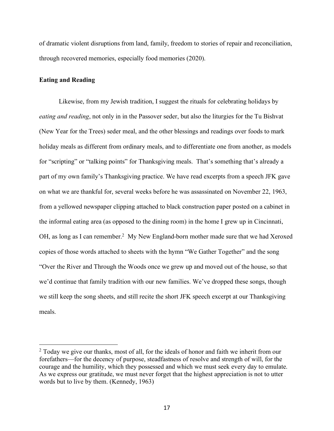of dramatic violent disruptions from land, family, freedom to stories of repair and reconciliation, through recovered memories, especially food memories (2020).

## **Eating and Reading**

Likewise, from my Jewish tradition, I suggest the rituals for celebrating holidays by *eating and reading*, not only in in the Passover seder, but also the liturgies for the Tu Bishvat (New Year for the Trees) seder meal, and the other blessings and readings over foods to mark holiday meals as different from ordinary meals, and to differentiate one from another, as models for "scripting" or "talking points" for Thanksgiving meals. That's something that's already a part of my own family's Thanksgiving practice. We have read excerpts from a speech JFK gave on what we are thankful for, several weeks before he was assassinated on November 22, 1963, from a yellowed newspaper clipping attached to black construction paper posted on a cabinet in the informal eating area (as opposed to the dining room) in the home I grew up in Cincinnati, OH, as long as I can remember.<sup>2</sup> My New England-born mother made sure that we had Xeroxed copies of those words attached to sheets with the hymn "We Gather Together" and the song "Over the River and Through the Woods once we grew up and moved out of the house, so that we'd continue that family tradition with our new families. We've dropped these songs, though we still keep the song sheets, and still recite the short JFK speech excerpt at our Thanksgiving meals.

<sup>&</sup>lt;sup>2</sup> Today we give our thanks, most of all, for the ideals of honor and faith we inherit from our forefathers—for the decency of purpose, steadfastness of resolve and strength of will, for the courage and the humility, which they possessed and which we must seek every day to emulate. As we express our gratitude, we must never forget that the highest appreciation is not to utter words but to live by them. (Kennedy, 1963)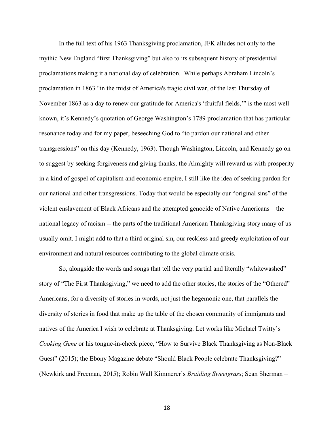In the full text of his 1963 Thanksgiving proclamation, JFK alludes not only to the mythic New England "first Thanksgiving" but also to its subsequent history of presidential proclamations making it a national day of celebration. While perhaps Abraham Lincoln's proclamation in 1863 "in the midst of America's tragic civil war, of the last Thursday of November 1863 as a day to renew our gratitude for America's 'fruitful fields,'" is the most wellknown, it's Kennedy's quotation of George Washington's 1789 proclamation that has particular resonance today and for my paper, beseeching God to "to pardon our national and other transgressions" on this day (Kennedy, 1963). Though Washington, Lincoln, and Kennedy go on to suggest by seeking forgiveness and giving thanks, the Almighty will reward us with prosperity in a kind of gospel of capitalism and economic empire, I still like the idea of seeking pardon for our national and other transgressions. Today that would be especially our "original sins" of the violent enslavement of Black Africans and the attempted genocide of Native Americans – the national legacy of racism -- the parts of the traditional American Thanksgiving story many of us usually omit. I might add to that a third original sin, our reckless and greedy exploitation of our environment and natural resources contributing to the global climate crisis.

So, alongside the words and songs that tell the very partial and literally "whitewashed" story of "The First Thanksgiving," we need to add the other stories, the stories of the "Othered" Americans, for a diversity of stories in words, not just the hegemonic one, that parallels the diversity of stories in food that make up the table of the chosen community of immigrants and natives of the America I wish to celebrate at Thanksgiving. Let works like Michael Twitty's *Cooking Gene* or his tongue-in-cheek piece, "How to Survive Black Thanksgiving as Non-Black Guest" (2015); the Ebony Magazine debate "Should Black People celebrate Thanksgiving?" (Newkirk and Freeman, 2015); Robin Wall Kimmerer's *Braiding Sweetgrass*; Sean Sherman –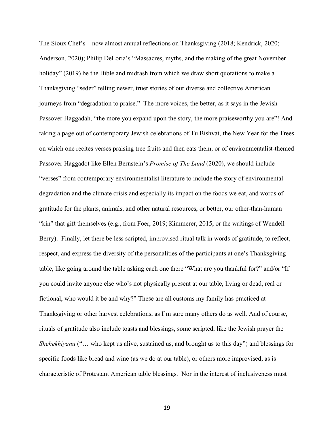The Sioux Chef's – now almost annual reflections on Thanksgiving (2018; Kendrick, 2020; Anderson, 2020); Philip DeLoria's "Massacres, myths, and the making of the great November holiday" (2019) be the Bible and midrash from which we draw short quotations to make a Thanksgiving "seder" telling newer, truer stories of our diverse and collective American journeys from "degradation to praise." The more voices, the better, as it says in the Jewish Passover Haggadah, "the more you expand upon the story, the more praiseworthy you are"! And taking a page out of contemporary Jewish celebrations of Tu Bishvat, the New Year for the Trees on which one recites verses praising tree fruits and then eats them, or of environmentalist-themed Passover Haggadot like Ellen Bernstein's *Promise of The Land* (2020), we should include "verses" from contemporary environmentalist literature to include the story of environmental degradation and the climate crisis and especially its impact on the foods we eat, and words of gratitude for the plants, animals, and other natural resources, or better, our other-than-human "kin" that gift themselves (e.g., from Foer, 2019; Kimmerer, 2015, or the writings of Wendell Berry). Finally, let there be less scripted, improvised ritual talk in words of gratitude, to reflect, respect, and express the diversity of the personalities of the participants at one's Thanksgiving table, like going around the table asking each one there "What are you thankful for?" and/or "If you could invite anyone else who's not physically present at our table, living or dead, real or fictional, who would it be and why?" These are all customs my family has practiced at Thanksgiving or other harvest celebrations, as I'm sure many others do as well. And of course, rituals of gratitude also include toasts and blessings, some scripted, like the Jewish prayer the *Shehekhiyanu* ("... who kept us alive, sustained us, and brought us to this day") and blessings for specific foods like bread and wine (as we do at our table), or others more improvised, as is characteristic of Protestant American table blessings. Nor in the interest of inclusiveness must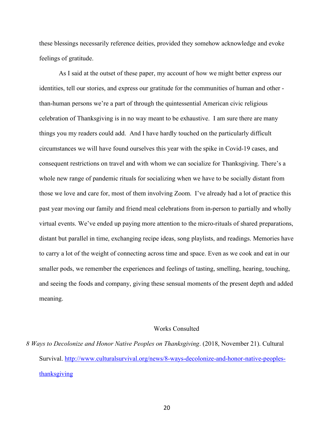these blessings necessarily reference deities, provided they somehow acknowledge and evoke feelings of gratitude.

As I said at the outset of these paper, my account of how we might better express our identities, tell our stories, and express our gratitude for the communities of human and other than-human persons we're a part of through the quintessential American civic religious celebration of Thanksgiving is in no way meant to be exhaustive. I am sure there are many things you my readers could add. And I have hardly touched on the particularly difficult circumstances we will have found ourselves this year with the spike in Covid-19 cases, and consequent restrictions on travel and with whom we can socialize for Thanksgiving. There's a whole new range of pandemic rituals for socializing when we have to be socially distant from those we love and care for, most of them involving Zoom. I've already had a lot of practice this past year moving our family and friend meal celebrations from in-person to partially and wholly virtual events. We've ended up paying more attention to the micro-rituals of shared preparations, distant but parallel in time, exchanging recipe ideas, song playlists, and readings. Memories have to carry a lot of the weight of connecting across time and space. Even as we cook and eat in our smaller pods, we remember the experiences and feelings of tasting, smelling, hearing, touching, and seeing the foods and company, giving these sensual moments of the present depth and added meaning.

## Works Consulted

*8 Ways to Decolonize and Honor Native Peoples on Thanksgiving*. (2018, November 21). Cultural Survival. http://www.culturalsurvival.org/news/8-ways-decolonize-and-honor-native-peoplesthanksgiving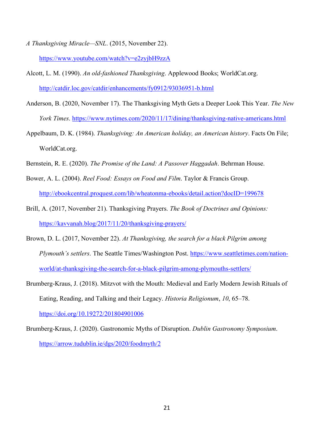*A Thanksgiving Miracle—SNL*. (2015, November 22).

https://www.youtube.com/watch?v=e2zyjbH9zzA

- Alcott, L. M. (1990). *An old-fashioned Thanksgiving*. Applewood Books; WorldCat.org. http://catdir.loc.gov/catdir/enhancements/fy0912/93036951-b.html
- Anderson, B. (2020, November 17). The Thanksgiving Myth Gets a Deeper Look This Year. *The New York Times*. https://www.nytimes.com/2020/11/17/dining/thanksgiving-native-americans.html
- Appelbaum, D. K. (1984). *Thanksgiving: An American holiday, an American history*. Facts On File; WorldCat.org.
- Bernstein, R. E. (2020). *The Promise of the Land: A Passover Haggadah*. Behrman House.
- Bower, A. L. (2004). *Reel Food: Essays on Food and Film*. Taylor & Francis Group. http://ebookcentral.proquest.com/lib/wheatonma-ebooks/detail.action?docID=199678
- Brill, A. (2017, November 21). Thanksgiving Prayers. *The Book of Doctrines and Opinions:* https://kavvanah.blog/2017/11/20/thanksgiving-prayers/
- Brown, D. L. (2017, November 22). *At Thanksgiving, the search for a black Pilgrim among Plymouth's settlers*. The Seattle Times/Washington Post. https://www.seattletimes.com/nationworld/at-thanksgiving-the-search-for-a-black-pilgrim-among-plymouths-settlers/
- Brumberg-Kraus, J. (2018). Mitzvot with the Mouth: Medieval and Early Modern Jewish Rituals of Eating, Reading, and Talking and their Legacy. *Historia Religionum*, *10*, 65–78.

https://doi.org/10.19272/201804901006

Brumberg-Kraus, J. (2020). Gastronomic Myths of Disruption. *Dublin Gastronomy Symposium*. https://arrow.tudublin.ie/dgs/2020/foodmyth/2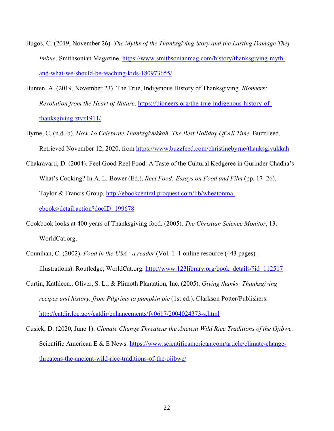- Bugos, C. (2019, November 26). *The Myths of the Thanksgiving Story and the Lasting Damage They Imbue*. Smithsonian Magazine. https://www.smithsonianmag.com/history/thanksgiving-mythand-what-we-should-be-teaching-kids-180973655/
- Bunten, A. (2019, November 23). The True, Indigenous History of Thanksgiving. *Bioneers: Revolution from the Heart of Nature.* https://bioneers.org/the-true-indigenous-history-ofthanksgiving-ztvz1911/
- Byrne, C. (n.d.-b). *How To Celebrate Thanksgivukkah, The Best Holiday Of All Time*. BuzzFeed. Retrieved November 12, 2020, from https://www.buzzfeed.com/christinebyrne/thanksgivukkah
- Chakravarti, D. (2004). Feel Good Reel Food: A Taste of the Cultural Kedgeree in Gurinder Chadha's What's Cooking? In A. L. Bower (Ed.), *Reel Food: Essays on Food and Film* (pp. 17–26). Taylor & Francis Group. http://ebookcentral.proquest.com/lib/wheatonmaebooks/detail.action?docID=199678
- Cookbook looks at 400 years of Thanksgiving food. (2005). *The Christian Science Monitor*, 13. WorldCat.org.
- Counihan, C. (2002). *Food in the USA : a reader* (Vol. 1–1 online resource (443 pages) : illustrations). Routledge; WorldCat.org. http://www.123library.org/book\_details/?id=112517
- Curtin, Kathleen., Oliver, S. L., & Plimoth Plantation, Inc. (2005). *Giving thanks: Thanksgiving recipes and history, from Pilgrims to pumpkin pie* (1st ed.). Clarkson Potter/Publishers. http://catdir.loc.gov/catdir/enhancements/fy0617/2004024373-s.html
- Cusick, D. (2020, June 1). *Climate Change Threatens the Ancient Wild Rice Traditions of the Ojibwe*. Scientific American E & E News. https://www.scientificamerican.com/article/climate-changethreatens-the-ancient-wild-rice-traditions-of-the-ojibwe/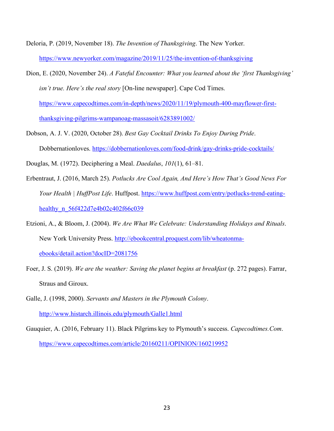- Deloria, P. (2019, November 18). *The Invention of Thanksgiving*. The New Yorker. https://www.newyorker.com/magazine/2019/11/25/the-invention-of-thanksgiving
- Dion, E. (2020, November 24). *A Fateful Encounter: What you learned about the 'first Thanksgiving' isn't true. Here's the real story* [On-line newspaper]. Cape Cod Times. https://www.capecodtimes.com/in-depth/news/2020/11/19/plymouth-400-mayflower-firstthanksgiving-pilgrims-wampanoag-massasoit/6283891002/
- Dobson, A. J. V. (2020, October 28). *Best Gay Cocktail Drinks To Enjoy During Pride*. Dobbernationloves. https://dobbernationloves.com/food-drink/gay-drinks-pride-cocktails/
- Douglas, M. (1972). Deciphering a Meal. *Daedalus*, *101*(1), 61–81.
- Erbentraut, J. (2016, March 25). *Potlucks Are Cool Again, And Here's How That's Good News For Your Health | HuffPost Life*. Huffpost. https://www.huffpost.com/entry/potlucks-trend-eatinghealthy n 56f422d7e4b02c402f66c039
- Etzioni, A., & Bloom, J. (2004). *We Are What We Celebrate: Understanding Holidays and Rituals*. New York University Press. http://ebookcentral.proquest.com/lib/wheatonmaebooks/detail.action?docID=2081756
- Foer, J. S. (2019). *We are the weather: Saving the planet begins at breakfast* (p. 272 pages). Farrar, Straus and Giroux.
- Galle, J. (1998, 2000). *Servants and Masters in the Plymouth Colony*. http://www.histarch.illinois.edu/plymouth/Galle1.html
- Gauquier, A. (2016, February 11). Black Pilgrims key to Plymouth's success. *Capecodtimes.Com*. https://www.capecodtimes.com/article/20160211/OPINION/160219952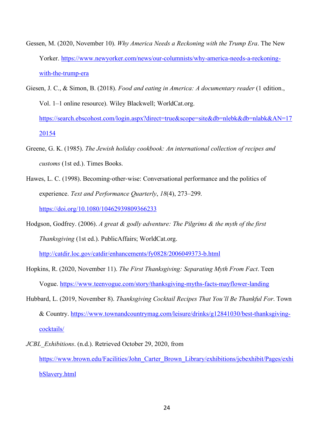- Gessen, M. (2020, November 10). *Why America Needs a Reckoning with the Trump Era*. The New Yorker. https://www.newyorker.com/news/our-columnists/why-america-needs-a-reckoningwith-the-trump-era
- Giesen, J. C., & Simon, B. (2018). *Food and eating in America: A documentary reader* (1 edition., Vol. 1–1 online resource). Wiley Blackwell; WorldCat.org. https://search.ebscohost.com/login.aspx?direct=true&scope=site&db=nlebk&db=nlabk&AN=17 20154
- Greene, G. K. (1985). *The Jewish holiday cookbook: An international collection of recipes and customs* (1st ed.). Times Books.
- Hawes, L. C. (1998). Becoming-other-wise: Conversational performance and the politics of experience. *Text and Performance Quarterly*, *18*(4), 273–299. https://doi.org/10.1080/10462939809366233
- Hodgson, Godfrey. (2006). *A great & godly adventure: The Pilgrims & the myth of the first Thanksgiving* (1st ed.). PublicAffairs; WorldCat.org.

http://catdir.loc.gov/catdir/enhancements/fy0828/2006049373-b.html

- Hopkins, R. (2020, November 11). *The First Thanksgiving: Separating Myth From Fact*. Teen Vogue. https://www.teenvogue.com/story/thanksgiving-myths-facts-mayflower-landing
- Hubbard, L. (2019, November 8). *Thanksgiving Cocktail Recipes That You'll Be Thankful For*. Town & Country. https://www.townandcountrymag.com/leisure/drinks/g12841030/best-thanksgivingcocktails/
- *JCBL\_Exhibitions*. (n.d.). Retrieved October 29, 2020, from https://www.brown.edu/Facilities/John\_Carter\_Brown\_Library/exhibitions/jcbexhibit/Pages/exhi bSlavery.html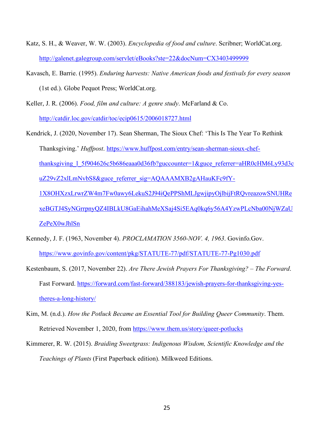- Katz, S. H., & Weaver, W. W. (2003). *Encyclopedia of food and culture*. Scribner; WorldCat.org. http://galenet.galegroup.com/servlet/eBooks?ste=22&docNum=CX3403499999
- Kavasch, E. Barrie. (1995). *Enduring harvests: Native American foods and festivals for every season* (1st ed.). Globe Pequot Press; WorldCat.org.
- Keller, J. R. (2006). *Food, film and culture: A genre study*. McFarland & Co. http://catdir.loc.gov/catdir/toc/ecip0615/2006018727.html
- Kendrick, J. (2020, November 17). Sean Sherman, The Sioux Chef: 'This Is The Year To Rethink Thanksgiving.' *Huffpost*. https://www.huffpost.com/entry/sean-sherman-sioux-chefthanksgiving 1 5f904626c5b686eaaa0d36fb?guccounter=1&guce\_referrer=aHR0cHM6Ly93d3c uZ29vZ2xlLmNvbS8&guce\_referrer\_sig=AQAAAMXB2gAHauKFc9fY-1X8OHXzxLrwrZW4m7Fw0awy6LekuS2J94iQePPShMLJgwjipyOjlbijFtRQvreazowSNUHRe xeBGTJ4SyNGrrpnyQZ4IBLkU8GaEihahMeXSaj4Si5EAq0kq6y56A4YzwPLcNba00NjWZaU

```
ZePeX0wJhlSn
```
- Kennedy, J. F. (1963, November 4). *PROCLAMATION 3560-NOV. 4, 1963*. Govinfo.Gov. https://www.govinfo.gov/content/pkg/STATUTE-77/pdf/STATUTE-77-Pg1030.pdf
- Kestenbaum, S. (2017, November 22). *Are There Jewish Prayers For Thanksgiving? – The Forward*. Fast Forward. https://forward.com/fast-forward/388183/jewish-prayers-for-thanksgiving-yestheres-a-long-history/
- Kim, M. (n.d.). *How the Potluck Became an Essential Tool for Building Queer Community*. Them. Retrieved November 1, 2020, from https://www.them.us/story/queer-potlucks
- Kimmerer, R. W. (2015). *Braiding Sweetgrass: Indigenous Wisdom, Scientific Knowledge and the Teachings of Plants* (First Paperback edition). Milkweed Editions.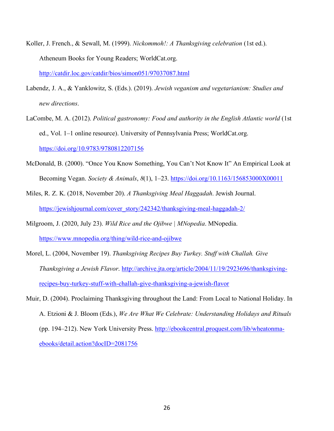- Koller, J. French., & Sewall, M. (1999). *Nickommoh!: A Thanksgiving celebration* (1st ed.). Atheneum Books for Young Readers; WorldCat.org. http://catdir.loc.gov/catdir/bios/simon051/97037087.html
- Labendz, J. A., & Yanklowitz, S. (Eds.). (2019). *Jewish veganism and vegetarianism: Studies and new directions*.
- LaCombe, M. A. (2012). *Political gastronomy: Food and authority in the English Atlantic world* (1st ed., Vol. 1–1 online resource). University of Pennsylvania Press; WorldCat.org. https://doi.org/10.9783/9780812207156
- McDonald, B. (2000). "Once You Know Something, You Can't Not Know It" An Empirical Look at Becoming Vegan. *Society & Animals*, *8*(1), 1–23. https://doi.org/10.1163/156853000X00011
- Miles, R. Z. K. (2018, November 20). *A Thanksgiving Meal Haggadah*. Jewish Journal. https://jewishjournal.com/cover\_story/242342/thanksgiving-meal-haggadah-2/
- Milgroom, J. (2020, July 23). *Wild Rice and the Ojibwe | MNopedia*. MNopedia. https://www.mnopedia.org/thing/wild-rice-and-ojibwe
- Morel, L. (2004, November 19). *Thanksgiving Recipes Buy Turkey. Stuff with Challah. Give Thanksgiving a Jewish Flavor*. http://archive.jta.org/article/2004/11/19/2923696/thanksgivingrecipes-buy-turkey-stuff-with-challah-give-thanksgiving-a-jewish-flavor
- Muir, D. (2004). Proclaiming Thanksgiving throughout the Land: From Local to National Holiday. In A. Etzioni & J. Bloom (Eds.), *We Are What We Celebrate: Understanding Holidays and Rituals* (pp. 194–212). New York University Press. http://ebookcentral.proquest.com/lib/wheatonmaebooks/detail.action?docID=2081756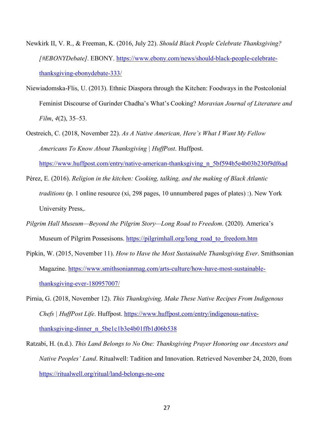- Newkirk II, V. R., & Freeman, K. (2016, July 22). *Should Black People Celebrate Thanksgiving? [#EBONYDebate]*. EBONY. https://www.ebony.com/news/should-black-people-celebratethanksgiving-ebonydebate-333/
- Niewiadomska-Flis, U. (2013). Ethnic Diaspora through the Kitchen: Foodways in the Postcolonial Feminist Discourse of Gurinder Chadha's What's Cooking? *Moravian Journal of Literature and Film*, *4*(2), 35–53.
- Oestreich, C. (2018, November 22). *As A Native American, Here's What I Want My Fellow Americans To Know About Thanksgiving | HuffPost*. Huffpost. https://www.huffpost.com/entry/native-american-thanksgiving n\_5bf594b5e4b03b230f9df6ad
- Pérez, E. (2016). *Religion in the kitchen: Cooking, talking, and the making of Black Atlantic traditions* (p. 1 online resource (xi, 298 pages, 10 unnumbered pages of plates) :). New York University Press,.
- *Pilgrim Hall Museum—Beyond the Pilgrim Story—Long Road to Freedom*. (2020). America's Museum of Pilgrim Possesisons. https://pilgrimhall.org/long\_road\_to\_freedom.htm
- Pipkin, W. (2015, November 11). *How to Have the Most Sustainable Thanksgiving Ever*. Smithsonian Magazine. https://www.smithsonianmag.com/arts-culture/how-have-most-sustainablethanksgiving-ever-180957007/
- Pirnia, G. (2018, November 12). *This Thanksgiving, Make These Native Recipes From Indigenous Chefs | HuffPost Life.* Huffpost. https://www.huffpost.com/entry/indigenous-nativethanksgiving-dinner\_n\_5be1c1b3e4b01ffb1d06b538
- Ratzabi, H. (n.d.). *This Land Belongs to No One: Thanksgiving Prayer Honoring our Ancestors and Native Peoples' Land*. Ritualwell: Tadition and Innovation. Retrieved November 24, 2020, from https://ritualwell.org/ritual/land-belongs-no-one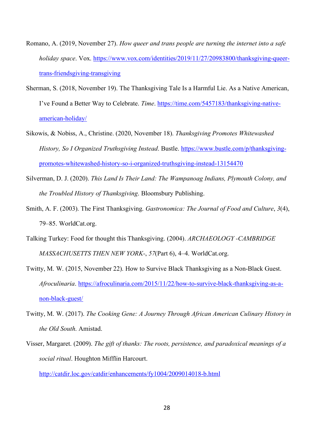- Romano, A. (2019, November 27). *How queer and trans people are turning the internet into a safe holiday space*. Vox. https://www.vox.com/identities/2019/11/27/20983800/thanksgiving-queertrans-friendsgiving-transgiving
- Sherman, S. (2018, November 19). The Thanksgiving Tale Is a Harmful Lie. As a Native American, I've Found a Better Way to Celebrate. *Time*. https://time.com/5457183/thanksgiving-nativeamerican-holiday/
- Sikowis, & Nobiss, A., Christine. (2020, November 18). *Thanksgiving Promotes Whitewashed History, So I Organized Truthsgiving Instead*. Bustle. https://www.bustle.com/p/thanksgivingpromotes-whitewashed-history-so-i-organized-truthsgiving-instead-13154470
- Silverman, D. J. (2020). *This Land Is Their Land: The Wampanoag Indians, Plymouth Colony, and the Troubled History of Thanksgiving*. Bloomsbury Publishing.
- Smith, A. F. (2003). The First Thanksgiving. *Gastronomica: The Journal of Food and Culture*, *3*(4), 79–85. WorldCat.org.
- Talking Turkey: Food for thought this Thanksgiving. (2004). *ARCHAEOLOGY -CAMBRIDGE MASSACHUSETTS THEN NEW YORK-*, *57*(Part 6), 4–4. WorldCat.org.
- Twitty, M. W. (2015, November 22). How to Survive Black Thanksgiving as a Non-Black Guest. *Afroculinaria*. https://afroculinaria.com/2015/11/22/how-to-survive-black-thanksgiving-as-anon-black-guest/
- Twitty, M. W. (2017). *The Cooking Gene: A Journey Through African American Culinary History in the Old South*. Amistad.
- Visser, Margaret. (2009). *The gift of thanks: The roots, persistence, and paradoxical meanings of a social ritual*. Houghton Mifflin Harcourt.

http://catdir.loc.gov/catdir/enhancements/fy1004/2009014018-b.html